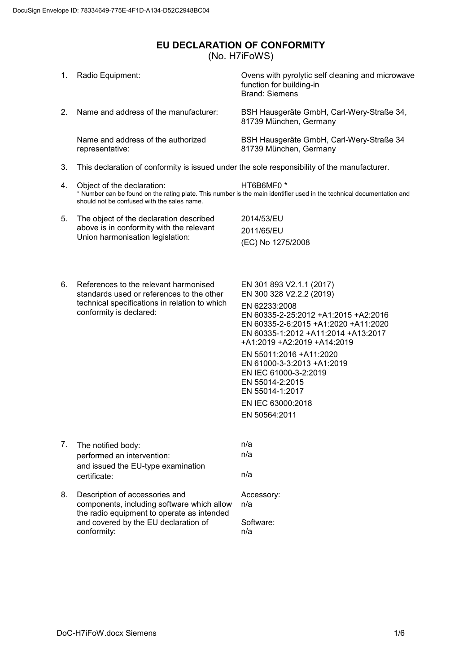## <span id="page-0-0"></span>**EU DECLARATION OF CONFORMITY** (No. H7iFoWS)

| 1. | Radio Equipment:                                                                                                                                               | Ovens with pyrolytic self cleaning and microwave<br>function for building-in<br><b>Brand: Siemens</b>                                                                                                                                                                                                                                                                    |
|----|----------------------------------------------------------------------------------------------------------------------------------------------------------------|--------------------------------------------------------------------------------------------------------------------------------------------------------------------------------------------------------------------------------------------------------------------------------------------------------------------------------------------------------------------------|
| 2. | Name and address of the manufacturer:                                                                                                                          | BSH Hausgeräte GmbH, Carl-Wery-Straße 34,<br>81739 München, Germany                                                                                                                                                                                                                                                                                                      |
|    | Name and address of the authorized<br>representative:                                                                                                          | BSH Hausgeräte GmbH, Carl-Wery-Straße 34<br>81739 München, Germany                                                                                                                                                                                                                                                                                                       |
| 3. | This declaration of conformity is issued under the sole responsibility of the manufacturer.                                                                    |                                                                                                                                                                                                                                                                                                                                                                          |
| 4. | Object of the declaration:<br>should not be confused with the sales name.                                                                                      | HT6B6MF0 *<br>* Number can be found on the rating plate. This number is the main identifier used in the technical documentation and                                                                                                                                                                                                                                      |
| 5. | The object of the declaration described                                                                                                                        | 2014/53/EU                                                                                                                                                                                                                                                                                                                                                               |
|    | above is in conformity with the relevant<br>Union harmonisation legislation:                                                                                   | 2011/65/EU                                                                                                                                                                                                                                                                                                                                                               |
|    |                                                                                                                                                                | (EC) No 1275/2008                                                                                                                                                                                                                                                                                                                                                        |
| 6. | References to the relevant harmonised<br>standards used or references to the other<br>technical specifications in relation to which<br>conformity is declared: | EN 301 893 V2.1.1 (2017)<br>EN 300 328 V2.2.2 (2019)<br>EN 62233:2008<br>EN 60335-2-25:2012 +A1:2015 +A2:2016<br>EN 60335-2-6:2015 +A1:2020 +A11:2020<br>EN 60335-1:2012 +A11:2014 +A13:2017<br>+A1:2019 +A2:2019 +A14:2019<br>EN 55011:2016 +A11:2020<br>EN 61000-3-3:2013 +A1:2019<br>EN IEC 61000-3-2:2019<br>EN 55014-2:2015<br>EN 55014-1:2017<br>EN IEC 63000:2018 |
|    |                                                                                                                                                                | EN 50564:2011                                                                                                                                                                                                                                                                                                                                                            |
|    |                                                                                                                                                                |                                                                                                                                                                                                                                                                                                                                                                          |
| 7. | The notified body:                                                                                                                                             | n/a<br>n/a                                                                                                                                                                                                                                                                                                                                                               |
|    | performed an intervention:<br>and issued the EU-type examination<br>certificate:                                                                               | n/a                                                                                                                                                                                                                                                                                                                                                                      |
| 8. | Description of accessories and<br>components, including software which allow<br>the radio equipment to operate as intended                                     | Accessory:<br>n/a                                                                                                                                                                                                                                                                                                                                                        |
|    | and covered by the EU declaration of<br>conformity:                                                                                                            | Software:<br>n/a                                                                                                                                                                                                                                                                                                                                                         |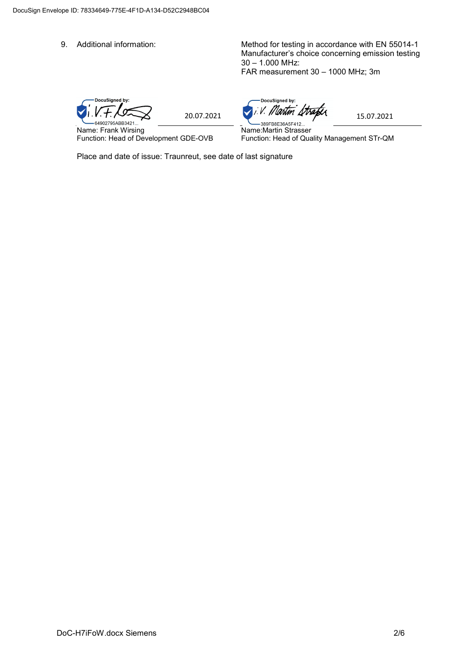9. Additional information: Method for testing in accordance with EN 55014-1 Manufacturer's choice concerning emission testing 30 – 1.000 MHz: FAR measurement 30 – 1000 MHz; 3m

DocuSigned by:  $V + \frac{1}{20.07.2021}$  20.07.2021

Name: Frank Wirsing Function: Head of Development GDE-OVB

-DocuSigned by: Martin Strafer 15.07.2021

Name:Martin Strasser Function: Head of Quality Management STr-QM

Place and date of issue: Traunreut, see date of last signature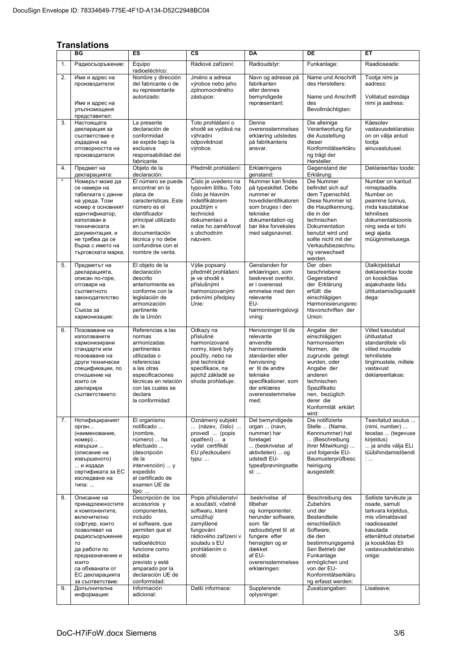## **Translations**

|          | ES<br>СS<br><b>DA</b><br>DE<br>ВG<br>EТ                                                                                                                                                                                                              |                                                                                                                                                                                                                                                        |                                                                                                                                                                                           |                                                                                                                                                                                                                    |                                                                                                                                                                                                                                                        |                                                                                                                                                                                                         |
|----------|------------------------------------------------------------------------------------------------------------------------------------------------------------------------------------------------------------------------------------------------------|--------------------------------------------------------------------------------------------------------------------------------------------------------------------------------------------------------------------------------------------------------|-------------------------------------------------------------------------------------------------------------------------------------------------------------------------------------------|--------------------------------------------------------------------------------------------------------------------------------------------------------------------------------------------------------------------|--------------------------------------------------------------------------------------------------------------------------------------------------------------------------------------------------------------------------------------------------------|---------------------------------------------------------------------------------------------------------------------------------------------------------------------------------------------------------|
|          |                                                                                                                                                                                                                                                      |                                                                                                                                                                                                                                                        |                                                                                                                                                                                           |                                                                                                                                                                                                                    |                                                                                                                                                                                                                                                        |                                                                                                                                                                                                         |
| 1.       | Радиосъоръжение:                                                                                                                                                                                                                                     | Rádiové zařízení:<br>Equipo<br>radioeléctrico:                                                                                                                                                                                                         |                                                                                                                                                                                           | Radioudstyr:                                                                                                                                                                                                       | Funkanlage:                                                                                                                                                                                                                                            | Raadioseade:                                                                                                                                                                                            |
| 2.       | Име и адрес на<br>производителя:<br>Име и адрес на                                                                                                                                                                                                   | Nombre y dirección<br>del fabricante o de<br>su representante<br>autorizado:                                                                                                                                                                           | Jméno a adresa<br>výrobce nebo jeho<br>zplnomocněného<br>zástupce:                                                                                                                        | Navn og adresse på<br>fabrikanten<br>eller dennes<br>bemyndigede<br>repræsentant:                                                                                                                                  | Name und Anschrift<br>des Herstellers:<br>Name und Anschrift<br>des                                                                                                                                                                                    | Tootja nimi ja<br>aadress:<br>Volitatud esindaja<br>nimi ja aadress:                                                                                                                                    |
|          | упълномощеня<br>представител:                                                                                                                                                                                                                        |                                                                                                                                                                                                                                                        |                                                                                                                                                                                           |                                                                                                                                                                                                                    | Bevollmächtigten:                                                                                                                                                                                                                                      |                                                                                                                                                                                                         |
| 3.       | Настоящата<br>декларация за<br>съответствие е<br>издадена на<br>отговорността на<br>производителя:                                                                                                                                                   | La presente<br>declaración de<br>conformidad<br>se expide bajo la<br>exclusiva<br>responsabilidad del<br>fabricante.                                                                                                                                   | Toto prohlášení o<br>shodě se vydává na<br>výhradní<br>odpovědnost<br>výrobce.                                                                                                            | Denne<br>overensstemmelses<br>erklæring udstedes<br>på fabrikantens<br>ansvar.                                                                                                                                     | Die alleinige<br>Verantwortung für<br>die Ausstellung<br>dieser<br>Konformitätserkläru<br>ng trägt der<br>Hersteller.                                                                                                                                  | Käesolev<br>vastavusdeklaratsio<br>on on välja antud<br>tootja<br>ainuvastutusel.                                                                                                                       |
| 4.       | Предмет на<br>декларацията:                                                                                                                                                                                                                          | Objeto de la<br>declaración:                                                                                                                                                                                                                           | Předmět prohlášení:                                                                                                                                                                       | Erklæringens<br>qenstand:                                                                                                                                                                                          | Gegenstand der<br>Erklärung:                                                                                                                                                                                                                           | Deklareeritav toode:                                                                                                                                                                                    |
| $\star$  | Номерът може да<br>се намери на<br>табелката с данни<br>на уреда. Този<br>номер е основният<br>идентификатор,<br>използван в<br>техническата<br>документация, и<br>не трябва да се<br>бърка с името на<br>търговската марка.                         | El número se puede<br>encontrar en la<br>placa de<br>características. Este<br>número es el<br>identificador<br>principal utilizado<br>en la<br>documentación<br>técnica y no debe<br>confundirse con el<br>nombre de venta.                            | Číslo je uvedeno na<br>typovém štítku. Toto<br>číslo je hlavním<br>indetifikátorem<br>použitým v<br>technické<br>dokumentaci a<br>nelze ho zaměňovat<br>s obchodním<br>názvem.            | Nummer kan findes<br>på typeskiltet. Dette<br>nummer er<br>hovedidentifikatoren<br>som bruges i den<br>tekniske<br>dokumentation og<br>bør ikke forveksles<br>med salgsnavnet.                                     | Die Nummer<br>befindet sich auf<br>dem Typenschild.<br>Diese Nummer ist<br>die Hauptkennung,<br>die in der<br>technischen<br>Dokumentation<br>benutzt wird und<br>sollte nicht mit der<br>Verkaufsbezeichnu<br>ng verwechselt<br>werden.               | Number on kantud<br>nimeplaadile.<br>Number on<br>peamine tunnus,<br>mida kasutatakse<br>tehnilises<br>dokumentatsioonis<br>ning seda ei tohi<br>segi ajada<br>müüqinimetusega.                         |
| 5.       | Предметът на<br>декларацията,<br>описан по-горе,<br>отговаря на<br>съответното<br>законодателство<br>на<br>Съюза за<br>хармонизация:                                                                                                                 | El objeto de la<br>declaración<br>descrito<br>anteriormente es<br>conforme con la<br>legislación de<br>armonización<br>pertinente<br>de la Unión:                                                                                                      | Výše popsaný<br>předmět prohlášení<br>je ve shodě s<br>příslušnými<br>harmonizovanými<br>právními předpisy<br>Unie:                                                                       | Genstanden for<br>erklæringen, som<br>beskrevet ovenfor,<br>er i overensst<br>emmelse med den<br>relevante<br>EU-<br>harmoniseringslovgi<br>vning:                                                                 | Der oben<br>beschriebene<br>Gegenstand<br>der Erklärung<br>erfüllt die<br>einschlägigen<br>Harmonisierungsrec<br>htsvorschriften der<br>Union:                                                                                                         | Ülalkirjeldatud<br>deklareeritav toode<br>on kooskõlas<br>asjakohaste liidu<br>ühtlustamisõigusakti<br>dega:                                                                                            |
| 6.       | Позоваване на<br>използваните<br>хармонизирани<br>стандарти или<br>позоваване на<br>други технически<br>спецификации, по<br>отношение на<br>които се<br>декларира<br>съответствието:                                                                 | Referencias a las<br>normas<br>armonizadas<br>pertinentes<br>utilizadas o<br>referencias<br>a las otras<br>especificaciones<br>técnicas en relación<br>con las cuales se<br>declara<br>la conformidad:                                                 | Odkazy na<br>příslušné<br>harmonizované<br>normy, které byly<br>použity, nebo na<br>jiné technické<br>specifikace, na<br>jejichž základě se<br>shoda prohlašuje:                          | Henvisninger til de<br>relevante<br>anvendte<br>harmoniserede<br>standarder eller<br>henvisning<br>er til de andre<br>tekniske<br>specifikationer, som<br>der erklæres<br>overensstemmelse<br>med:                 | Angabe der<br>einschlägigen<br>harmonisierten<br>Normen, die<br>zugrunde gelegt<br>wurden, oder<br>Angabe der<br>anderen<br>technischen<br>Spezifikatio<br>nen, bezüglich<br>derer die<br>Konformität erklärt<br>wird:                                 | Viited kasutatud<br>ühtlustatud<br>standarditele või<br>viited muudele<br>tehnilistele<br>tingimustele, millele<br>vastavust<br>deklareeritakse:                                                        |
| 7.       | Нотифицираният<br>орган<br>(наименование,<br>номер)<br>извърши<br>(описание на<br>извършеното)<br>и издаде<br>сертификата за ЕС<br>изследване на<br>типа:                                                                                            | El organismo<br>notificado<br>(nombre,<br>número)  ha<br>efectuado<br>(descripción<br>de la<br>intervención)  y<br>expedido<br>el certificado de<br>examen UE de<br>$tipo: $                                                                           | Oznámený subjekt<br>(název, číslo)<br>provedl  (popis<br>opatření)  a<br>vydal certifikát<br>EU přezkoušení<br>typu:                                                                      | Det bemyndigede<br>organ  (navn,<br>nummer) har<br>foretaget<br>(beskrivelse af<br>aktiviteten)  og<br>udstedt EU-<br>typeafprøvningsatte<br>st:                                                                   | Die notifizierte<br>Stelle  (Name,<br>Kennnummer) hat<br>(Beschreibung<br>ihrer Mitwirkung)<br>und folgende EU-<br>Baumusterprüfbesc<br>heinigung<br>ausgestellt:                                                                                      | Teavitatud asutus<br>(nimi, number)<br>teostas  (tegevuse<br>kirjeldus)<br>ja andis välja ELi<br>tüübihindamistõendi<br>1.11                                                                            |
| 8.<br>9. | Описание на<br>принадлежностите<br>и компонентите,<br>включително<br>софтуер, които<br>позволяват на<br>радиосъоръжение<br>TO<br>да работи по<br>предназначение и<br>КОИТО<br>са обхванати от<br>ЕС декларацията<br>за съответствие:<br>Допълнителна | Descripción de los<br>accesorios y<br>componentes,<br>incluido<br>el software, que<br>permiten que el<br>equipo<br>radioeléctrico<br>funcione como<br>estaba<br>previsto y esté<br>amparado por la<br>declaración UE de<br>conformidad:<br>Información | Popis příslušenství<br>a součástí, včetně<br>softwaru, které<br>umožňují<br>zamýšlené<br>fungování<br>rádiového zařízení v<br>souladu s EU<br>prohlášením o<br>shodě:<br>Další informace: | beskrivelse af<br>tilbehør<br>og komponenter,<br>herunder software,<br>som får<br>radioudstyret til at<br>fungere efter<br>hensigten og er<br>dækket<br>af EU-<br>overensstemmelses<br>erklæringen:<br>Supplerende | Beschreibung des<br>Zubehörs<br>und der<br>Bestandteile<br>einschließlich<br>Software,<br>die den<br>bestimmungsgemä<br>ßen Betrieb der<br>Funkanlage<br>ermöglichen und<br>von der EU-<br>Konformitätserkläru<br>ng erfasst werden:<br>Zusatzangaben: | Selliste tarvikute ja<br>osade, samuti<br>tarkvara kirjeldus,<br>mis võimaldavad<br>raadioseadet<br>kasutada<br>ettenähtud otstarbel<br>ja kooskõlas Eli<br>vastavusdeklaratsio<br>oniga:<br>Lisateave: |
|          | информация:                                                                                                                                                                                                                                          | adicional:                                                                                                                                                                                                                                             |                                                                                                                                                                                           | oplysninger:                                                                                                                                                                                                       |                                                                                                                                                                                                                                                        |                                                                                                                                                                                                         |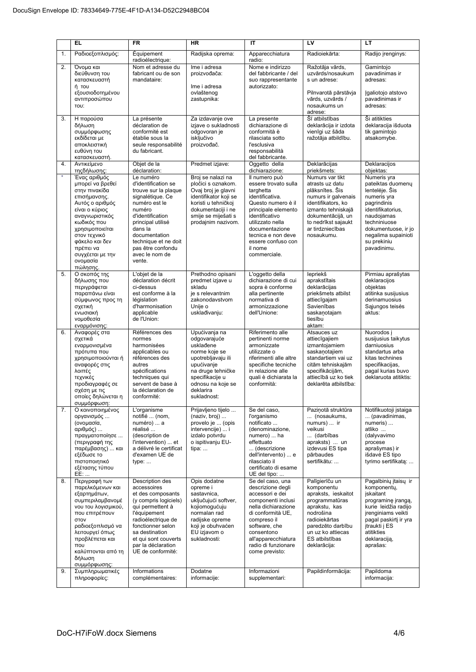|          | <b>EL</b>                                                                                                                                                                                                                                                    | <b>FR</b>                                                                                                                                                                                                                                             | <b>HR</b>                                                                                                                                                                                | IT                                                                                                                                                                                                                                                       | LV                                                                                                                                                                                                                     | LT                                                                                                                                                                                                                    |
|----------|--------------------------------------------------------------------------------------------------------------------------------------------------------------------------------------------------------------------------------------------------------------|-------------------------------------------------------------------------------------------------------------------------------------------------------------------------------------------------------------------------------------------------------|------------------------------------------------------------------------------------------------------------------------------------------------------------------------------------------|----------------------------------------------------------------------------------------------------------------------------------------------------------------------------------------------------------------------------------------------------------|------------------------------------------------------------------------------------------------------------------------------------------------------------------------------------------------------------------------|-----------------------------------------------------------------------------------------------------------------------------------------------------------------------------------------------------------------------|
| 1.       | Ραδιοεξοπλισμός:                                                                                                                                                                                                                                             | Équipement<br>radioélectrique:                                                                                                                                                                                                                        | Radijska oprema:                                                                                                                                                                         | Apparecchiatura<br>radio:                                                                                                                                                                                                                                | Radioiekārta:                                                                                                                                                                                                          | Radijo įrenginys:                                                                                                                                                                                                     |
| 2.       | Όνομα και<br>διεύθυνση του<br>κατασκευαστή<br>ή του<br>εξουσιοδοτημένου<br>αντιπροσώπου<br>TOU:                                                                                                                                                              | Nom et adresse du<br>fabricant ou de son<br>mandataire:                                                                                                                                                                                               | Ime i adresa<br>proizvođača:<br>Ime i adresa<br>ovlaštenog<br>zastupnika:                                                                                                                | Nome e indirizzo<br>del fabbricante / del<br>suo rappresentante<br>autorizzato:                                                                                                                                                                          | Ražotāja vārds,<br>uzvārds/nosaukum<br>s un adrese:<br>Pilnvarotā pārstāvja<br>vārds, uzvārds /<br>nosaukums un<br>adrese:                                                                                             | Gamintojo<br>pavadinimas ir<br>adresas:<br>Igaliotojo atstovo<br>pavadinimas ir<br>adresas:                                                                                                                           |
| 3.       | Η παρούσα<br>δήλωση<br>συμμόρφωσης<br>εκδίδεται με<br>αποκλειστική<br>ευθύνη του<br>κατασκευαστή.                                                                                                                                                            | La présente<br>déclaration de<br>conformité est<br>établie sous la<br>seule responsabilité<br>du fabricant.                                                                                                                                           | Za izdavanje ove<br>izjave o sukladnosti<br>odgovoran je<br>isključivo<br>proizvođač.                                                                                                    | La presente<br>dichiarazione di<br>conformità è<br>rilasciata sotto<br>l'esclusiva<br>responsabilità<br>del fabbricante.                                                                                                                                 | Šī atbilstības<br>deklarācija ir izdota<br>vienīgi uz šāda<br>ražotāja atbildību.                                                                                                                                      | Ši atitikties<br>deklaracija išduota<br>tik gamintojo<br>atsakomybe.                                                                                                                                                  |
| 4.       | Αντικείμενο<br>τηςδήλωσης:                                                                                                                                                                                                                                   | Objet de la<br>déclaration:                                                                                                                                                                                                                           | Predmet izjave:                                                                                                                                                                          | Oggetto della<br>dichiarazione:                                                                                                                                                                                                                          | Deklarācijas<br>priekšmets:                                                                                                                                                                                            | Deklaracijos<br>objektas:                                                                                                                                                                                             |
| $\star$  | Ένας αριθμός<br>μπορεί να βρεθεί<br>στην πινακίδα<br>επισήμανσης.<br>Αυτός ο αριθμός<br>είναι ο κύριος<br>αναγνωριστικός<br>κωδικός που<br>χρησιμοποιείται<br>στον τεχνικό<br>φάκελο και δεν<br>πρέπει να<br>συγχέεται με την<br>ονομασία<br>πώλησης.        | Le numéro<br>d'identification se<br>trouve sur la plaque<br>signalétique. Ce<br>numéro est le<br>numéro<br>d'identification<br>principal utilisé<br>dans la<br>documentation<br>technique et ne doit<br>pas être confondu<br>avec le nom de<br>vente. | Broj se nalazi na<br>pločici s oznakom.<br>Ovaj broj je glavni<br>identifikator koji se<br>koristi u tehničkoj<br>dokumentaciji i ne<br>smije se miješati s<br>prodajnim nazivom.        | Il numero può<br>essere trovato sulla<br>targhetta<br>identificativa.<br>Questo numero è il<br>principale elemento<br>identificativo<br>utilizzato nella<br>documentazione<br>tecnica e non deve<br>essere confuso con<br>il nome<br>commerciale.        | Numurs var tikt<br>atrasts uz datu<br>plāksnītes. Šis<br>numurs ir galvenais<br>identifikators, ko<br>izmanto tehniskajā<br>dokumentācijā, un<br>to nedrīkst sajaukt<br>ar tirdzniecības<br>nosaukumu.                 | Numeris yra<br>pateiktas duomenų<br>lentelėje. Šis<br>numeris yra<br>pagrindinis<br>identifikatorius,<br>naudojamas<br>techniniuose<br>dokumentuose, ir jo<br>negalima supainioti<br>su prekiniu<br>pavadinimu.       |
| 5.       | Ο σκοπός της<br>δήλωσης που<br>περιγράφεται<br>παραπάνω είναι<br>σύμφωνος προς τη<br>σχετική<br>ενωσιακή<br>νομοθεσία<br>εναρμόνισης:                                                                                                                        | L'objet de la<br>déclaration décrit<br>ci-dessus<br>est conforme à la<br>législation<br>d'harmonisation<br>applicable<br>de l'Union:                                                                                                                  | Prethodno opisani<br>predmet izjave u<br>skladu<br>je s relevantnim<br>zakonodavstvom<br>Unije o<br>usklađivanju:                                                                        | L'oggetto della<br>dichiarazione di cui<br>sopra è conforme<br>alla pertinente<br>normativa di<br>armonizzazione<br>dell'Unione:                                                                                                                         | lepriekš<br>aprakstītais<br>deklarācijas<br>priekšmets atbilst<br>attiecīgajam<br>Savienības<br>saskanotajam<br>tiesību<br>aktam:                                                                                      | Pirmiau aprašytas<br>deklaracijos<br>objektas<br>atitinka susijusius<br>derinamuosius<br>Sąjungos teisės<br>aktus:                                                                                                    |
| 6.       | Αναφορές στα<br>σχετικά<br>εναρμονισμένα<br>πρότυπα που<br>χρησιμοποιούνται ή<br>αναφορές στις<br>λοιπές<br>τεχνικές<br>προδιαγραφές σε<br>σχέση με τις<br>οποίες δηλώνεται η<br>συμμόρφωση:                                                                 | Références des<br>normes<br>harmonisées<br>applicables ou<br>références des<br>autres<br>spécifications<br>techniques qui<br>servent de base à<br>la déclaration de<br>conformité:                                                                    | Upućivanja na<br>odgovarajuće<br>usklađene<br>norme koje se<br>upotrebljavaju ili<br>upućivanje<br>na druge tehničke<br>specifikacije u<br>odnosu na koje se<br>deklarira<br>sukladnost: | Riferimento alle<br>pertinenti norme<br>armonizzate<br>utilizzate o<br>riferimenti alle altre<br>specifiche tecniche<br>in relazione alle<br>quali è dichiarata la<br>conformità:                                                                        | Atsauces uz<br>attiecīgajiem<br>izmantojamiem<br>saskanotajiem<br>standartiem vai uz<br>citām tehniskajām<br>specifikācijām,<br>attiecībā uz ko tiek<br>deklarēta atbilstība:                                          | Nuorodos j<br>susijusius taikytus<br>darniuosius<br>standartus arba<br>kitas technines<br>specifikacijas,<br>pagal kurias buvo<br>deklaruota atitiktis:                                                               |
| 7.       | Ο κοινοποιημένος<br>οργανισμός<br>(ονομασία,<br>αριθμός)<br>πραγματοποίησε<br>(περιγραφή της<br>παρέμβασης)  και<br>εξέδωσε το<br>πιστοποιητικό<br>εξέτασης τύπου<br>EE:                                                                                     | L'organisme<br>notifié  (nom,<br>numéro)  a<br>réalisé<br>(description de<br>l'intervention)  et<br>a délivré le certificat<br>d'examen UE de<br>type:<br><b>Description des</b>                                                                      | Prijavljeno tijelo<br>(naziv, broj)<br>provelo je  (opis<br>intervencije)  i<br>izdalo potvrdu<br>o ispitivanju EU-<br>tipa:                                                             | Se del caso,<br>l'organismo<br>notificato<br>(denominazione,<br>numero)  ha<br>effettuato<br>(descrizione<br>dell'intervento)  e<br>rilasciato il<br>certificato di esame<br>UE del tipo:                                                                | Paziņotā struktūra<br>(nosaukums,<br>numurs)  ir<br>veikusi<br>(darbības<br>apraksts)  un<br>izdevusi ES tipa<br>pārbaudes<br>sertifikātu:                                                                             | Notifikuotoji istaiga<br>(pavadinimas,<br>numeris)<br>atliko<br>(dalyvavimo<br>procese<br>aprašymas) ir<br>išdavė ES tipo<br>tyrimo sertifikatą:                                                                      |
| 8.<br>9. | Περιγραφή των<br>παρελκόμενων και<br>εξαρτημάτων,<br>συμπεριλαμβανομέ<br>νου του λογισμικού,<br>που επιτρέπουν<br>στον<br>ραδιοεξοπλισμό να<br>λειτουργεί όπως<br>προβλέπεται και<br>TTOU<br>καλύπτονται από τη<br>δήλωση<br>συμμόρφωσης:<br>Συμπληρωματικές | accessoires<br>et des composants<br>(y compris logiciels)<br>qui permettent à<br>l'équipement<br>radioélectrique de<br>fonctionner selon<br>sa destination<br>et qui sont couverts<br>par la déclaration<br>UE de conformité:<br>Informations         | Opis dodatne<br>opreme i<br>sastavnica,<br>uključujući softver,<br>kojiomogućuju<br>normalan rad<br>radijske opreme<br>koji je obuhvaćen<br>EU izjavom o<br>sukladnosti:<br>Dodatne      | Se del caso, una<br>descrizione degli<br>accessori e dei<br>componenti inclusi<br>nella dichiarazione<br>di conformità UE,<br>compreso il<br>software, che<br>consentono<br>all'apparecchiatura<br>radio di funzionare<br>come previsto:<br>Informazioni | Palīgierīču un<br>komponentu<br>apraksts, ieskaitot<br>programmatūras<br>aprakstu, kas<br>nodrošina<br>radioiekārtas<br>paredzēto darbību<br>un uz ko attiecas<br>ES atbilstības<br>deklarācija:<br>Papildinformācija: | Pagalbinių įtaisų ir<br>komponentu,<br>jskaitant<br>programinę įrangą,<br>kurie leidžia radijo<br>jrenginiams veikti<br>pagal paskirti ir yra<br>jtraukti j ES<br>atitikties<br>deklaraciją,<br>aprašas:<br>Papildoma |
|          | πληροφορίες:                                                                                                                                                                                                                                                 | complémentaires:                                                                                                                                                                                                                                      | informacije:                                                                                                                                                                             | supplementari:                                                                                                                                                                                                                                           |                                                                                                                                                                                                                        | informacija:                                                                                                                                                                                                          |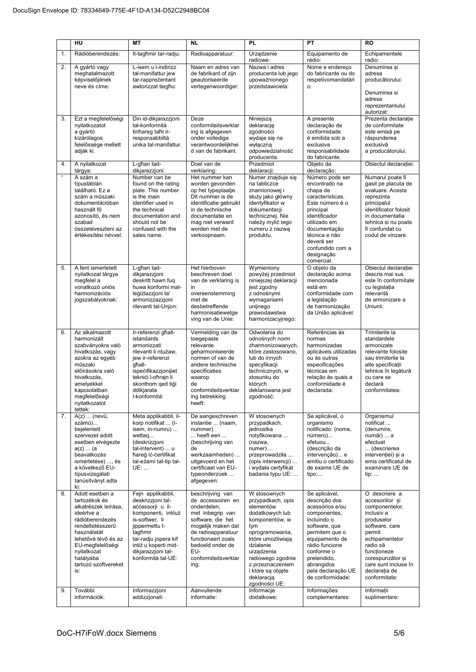|          | HU                                                                                                                                                                                                                                            | <b>MT</b>                                                                                                                                                                                                                                    | <b>NL</b>                                                                                                                                                                                                                                 | <b>PL</b>                                                                                                                                                                                                                                                                | PT                                                                                                                                                                                                                                                          | <b>RO</b>                                                                                                                                                                                                                                           |
|----------|-----------------------------------------------------------------------------------------------------------------------------------------------------------------------------------------------------------------------------------------------|----------------------------------------------------------------------------------------------------------------------------------------------------------------------------------------------------------------------------------------------|-------------------------------------------------------------------------------------------------------------------------------------------------------------------------------------------------------------------------------------------|--------------------------------------------------------------------------------------------------------------------------------------------------------------------------------------------------------------------------------------------------------------------------|-------------------------------------------------------------------------------------------------------------------------------------------------------------------------------------------------------------------------------------------------------------|-----------------------------------------------------------------------------------------------------------------------------------------------------------------------------------------------------------------------------------------------------|
| 1.       | Rádióberendezés:                                                                                                                                                                                                                              | It-tagħmir tar-radju:                                                                                                                                                                                                                        | Radioapparatuur:                                                                                                                                                                                                                          | Urządzenie<br>radiowe:                                                                                                                                                                                                                                                   | Equipamento de<br>rádio:                                                                                                                                                                                                                                    | Echipamentele                                                                                                                                                                                                                                       |
| 2.       | A gyártó vagy<br>meghatalmazott<br>képviselőjének<br>neve és címe:                                                                                                                                                                            | L-isem u l-indirizz<br>tal-manifattur jew<br>tar-rappreżentant<br>awtorizzat tiegħu:                                                                                                                                                         | Naam en adres van<br>de fabrikant of zijn<br>geautoriseerde<br>vertegenwoordiger:                                                                                                                                                         | Nazwa i adres<br>producenta lub jego<br>upoważnionego<br>przedstawiciela:                                                                                                                                                                                                | Nome e endereço<br>do fabricante ou do<br>respetivomandatári<br>О.                                                                                                                                                                                          | radio:<br>Denumirea și<br>adresa<br>producătorului:<br>Denumirea si<br>adresa<br>reprezentantului<br>autorizat:                                                                                                                                     |
| 3.       | Ezt a megfelelőségi<br>nyilatkozatot<br>a gyártó<br>kizárólagos<br>felelőssége mellett<br>adják ki.                                                                                                                                           | Din id-dikjarazzjoni<br>tal-konformità<br>tinhareg taht ir-<br>responsabbiltà<br>unika tal-manifattur.                                                                                                                                       | Deze<br>conformiteitsverklar<br>ing is afgegeven<br>onder volledige<br>verantwoordeliikhei<br>d van de fabrikant.                                                                                                                         | Niniejszą<br>deklarację<br>zgodności<br>wydaje się na<br>wyłączną<br>odpowiedzialność<br>producenta.                                                                                                                                                                     | A presente<br>declaração de<br>conformidade<br>é emitida sob a<br>exclusiva<br>responsabilidade<br>do fabricante.                                                                                                                                           | Prezenta declarație<br>de conformitate<br>este emisă pe<br>răspunderea<br>exclusivă<br>a producătorului.                                                                                                                                            |
| 4.       | A nyilatkozat<br>tárgya:                                                                                                                                                                                                                      | L-għan tad-<br>dikjarazzjoni:                                                                                                                                                                                                                | Doel van de<br>verklaring:                                                                                                                                                                                                                | Przedmiot<br>deklaracji:                                                                                                                                                                                                                                                 | Objeto da<br>declaração:                                                                                                                                                                                                                                    | Obiectul declarației:                                                                                                                                                                                                                               |
| $\star$  | A szám a<br>típustáblán<br>található. Ez a<br>szám a műszaki<br>dokumentációban<br>használt fő<br>azonosító, és nem<br>szabad<br>összetéveszteni az<br>értékesítési névvel.                                                                   | Number can be<br>found on the rating<br>plate. This number<br>is the main<br>identifier used in<br>the technical<br>documentation and<br>should not be<br>confused with the<br>sales name.                                                   | Het nummer kan<br>worden gevonden<br>op het typeplaatje.<br>Dit nummer is de<br>identificatie gebruikt<br>in de technische<br>documentatie en<br>mag niet verward<br>worden met de<br>verkoopnaam.                                        | Numer znajduje się<br>na tabliczce<br>znamionowej i<br>służy jako główny<br>identyfikator w<br>dokumentacji<br>technicznej. Nie<br>należy mylić tego<br>numeru z nazwą<br>produktu.                                                                                      | Número pode ser<br>encontrado na<br>chapa de<br>características.<br>Este número é o<br>principal<br>identificador<br>utilizado em<br>documentação<br>técnica e não<br>deverá ser<br>confundido com a<br>designação<br>comercial.                            | Numarul poate fi<br>gasit pe placuta de<br>evaluare. Acesta<br>reprezinta<br>principalul<br>identificator folosit<br>in documentatia<br>tehnica si nu poate<br>fi confundat cu<br>codul de vinzare.                                                 |
| 5.       | A fent ismertetett<br>nyilatkozat tárgya<br>megfelel a<br>vonatkozó uniós<br>harmonizációs<br>jogszabályoknak:                                                                                                                                | L-għan tad-<br>dikjarazzjoni<br>deskritt hawn fug<br>huwa konformi mal-<br>leģiżlazzjoni ta'<br>armonizzazzjoni<br>rilevanti tal-Unjon:                                                                                                      | Het hierboven<br>beschreven doel<br>van de verklaring is<br>in<br>overeenstemming<br>met de<br>desbetreffende<br>harmonisatiewetge<br>ving van de Unie:                                                                                   | Wymieniony<br>powyżej przedmiot<br>niniejszej deklaracji<br>jest zgodny<br>z odnośnymi<br>wymaganiami<br>unijnego<br>prawodawstwa<br>harmonizacyjnego:                                                                                                                   | O objeto da<br>declaração acima<br>mencionada<br>está em<br>conformidade com<br>a legislação<br>de harmonização<br>da União aplicável:                                                                                                                      | Obiectul declarației<br>descris mai sus<br>este în conformitate<br>cu legislația<br>relevantă<br>de armonizare a<br>Uniunii:                                                                                                                        |
| 6.       | Az alkalmazott<br>harmonizált<br>szabványokra való<br>hivatkozás, vagy<br>azokra az egyéb<br>műszaki<br>előírásokra való<br>hivatkozás,<br>amelyekkel<br>kapcsolatban<br>megfelelőségi<br>nyilatkozatot<br>tettek:                            | Ir-referenzi għall-<br>istandards<br>armonizzati<br>rilevanti li ntużaw,<br>jew ir-referenzi<br>qhall-<br>ispecifikazzjonijiet<br>teknići l-oħrajn li<br>skonthom ged tigi<br>ddikjarata<br>I-konformità:                                    | Vermelding van de<br>toegepaste<br>relevante<br>geharmoniseerde<br>normen of van de<br>andere technische<br>specificaties<br>waarop<br>de<br>conformiteitsverklar<br>ing betrekking<br>heeft:                                             | Odwołania do<br>odnośnych norm<br>zharmonizowanych,<br>które zastosowano.<br>lub do innych<br>specyfikacji<br>technicznych, w<br>stosunku do<br>których<br>deklarowana jest<br>zgodność:                                                                                 | Referências às<br>normas<br>harmonizadas<br>aplicáveis utilizadas<br>ou às outras<br>especificações<br>técnicas em<br>relação às quais a<br>conformidade é<br>declarada:                                                                                    | Trimiterile la<br>standardele<br>armonizate<br>relevante folosite<br>sau trimiterile la<br>alte specificatii<br>tehnice în legătură<br>cu care se<br>declară<br>conformitatea:                                                                      |
| 7.       | A(z)  (nevű,<br>számú)<br>beielentett<br>szervezet adott<br>esetben elvégezte<br>a(z)  (a)<br>beavatkozás<br>ismertetése) , és<br>a következő EU-<br>típusvizsgálati<br>tanúsítványt adta<br>ki:                                              | Meta applikabbli, il-<br>korp notifikat  (I-<br>isem, in-numru)<br>wettaq<br>(deskrizzjoni<br>tal-intervent)  u<br>hareg ic-certifikat<br>tal-eżami tat-tip tal-<br>UE:                                                                      | De aangeschreven<br>instantie  (naam,<br>nummer)<br>heeft een<br>(beschrijving van<br>de<br>werkzaamheden)<br>uitgevoerd en het<br>certificaat van EU-<br>typeonderzoek<br>afgegeven:                                                     | W stosownych<br>przypadkach,<br>jednostka<br>notyfikowana<br>(nazwa,<br>$numer)$<br>przeprowadziła<br>(opis interwencji)<br>i wydała certyfikat<br>badania typu UE:                                                                                                      | Se aplicável, o<br>organismo<br>notificado: (nome,<br>número)<br>efetuou<br>(descrição da<br>intervenção) e<br>emitiu o certificado<br>de exame UE de<br>tipo:                                                                                              | Organismul<br>notificat<br>(denumire,<br>număr)  a<br>efectuat<br>(descrierea<br>intervenției) și a<br>emis certificatul de<br>examinare UE de<br>tip:                                                                                              |
| 8.<br>9. | Adott esetben a<br>tartozékok és<br>alkatrészek leírása,<br>ideértve a<br>rádióberendezés<br>rendeltetésszerű<br>használatát<br>lehetővé tévő és az<br>EU-megfelelőségi<br>nyilatkozat<br>hatályába<br>tartozó szoftvereket<br>is:<br>További | Fejn applikabbli,<br>deskrizzjoni tal-<br>accessorji u il-<br>komponenti, inkluż<br>is-softwer, li<br>jippermettu t-<br>tagħmir<br>tar-radju jopera kif<br>intiż u koperti mid-<br>dikjarazzjoni tal-<br>konformità tal-UE:<br>Informazzjoni | beschrijving van<br>de accessoiren en<br>onderdelen,<br>met inbegrip van<br>software, die het<br>mogelijk maken dat<br>de radioapparatuur<br>functioneert zoals<br>bedoeld onder de<br>EU-<br>conformiteitsverklar<br>ing:<br>Aanvullende | W stosownych<br>przypadkach, opis<br>elementów<br>dodatkowych lub<br>komponentów, w<br>tym<br>oprogramowania,<br>które umożliwiają<br>działanie<br>urządzenia<br>radiowego zgodnie<br>z przeznaczeniem<br>i które są objęte<br>deklaracją<br>zgodności UE:<br>Informacje | Se aplicável,<br>descrição dos<br>acessórios e/ou<br>componentes,<br>incluindo o<br>software, que<br>permitem que o<br>equipamento de<br>rádio funcione<br>conforme o<br>pretendido,<br>abrangidos<br>pela declaração UE<br>de conformidade:<br>Informações | O descriere a<br>accesoriilor si<br>componentelor,<br>inclusiv a<br>produselor<br>software, care<br>permit<br>echipamentelor<br>radio să<br>funcționeze<br>corespunzător și<br>care sunt incluse în<br>declarația de<br>conformitate:<br>Informatii |
|          | információk:                                                                                                                                                                                                                                  | addizzjonali:                                                                                                                                                                                                                                | informatie:                                                                                                                                                                                                                               | dodatkowe:                                                                                                                                                                                                                                                               | complementares:                                                                                                                                                                                                                                             | suplimentare:                                                                                                                                                                                                                                       |